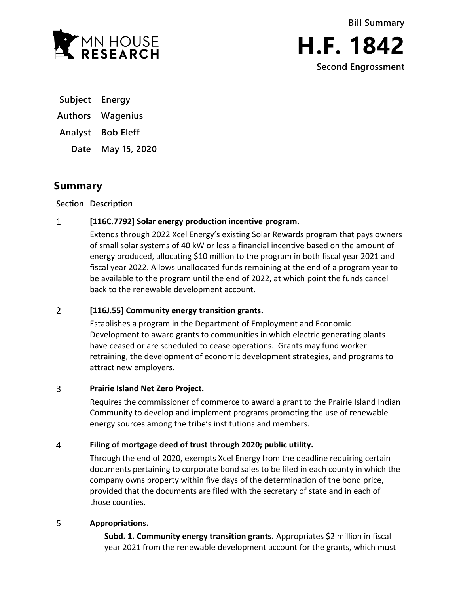

**Bill Summary**



**Subject Energy**

**Authors Wagenius**

**Analyst Bob Eleff**

**Date May 15, 2020**

# **Summary**

**Section Description**

### $\mathbf{1}$ **[116C.7792] Solar energy production incentive program.**

Extends through 2022 Xcel Energy's existing Solar Rewards program that pays owners of small solar systems of 40 kW or less a financial incentive based on the amount of energy produced, allocating \$10 million to the program in both fiscal year 2021 and fiscal year 2022. Allows unallocated funds remaining at the end of a program year to be available to the program until the end of 2022, at which point the funds cancel back to the renewable development account.

### $\overline{2}$ **[116J.55] Community energy transition grants.**

Establishes a program in the Department of Employment and Economic Development to award grants to communities in which electric generating plants have ceased or are scheduled to cease operations. Grants may fund worker retraining, the development of economic development strategies, and programs to attract new employers.

### $\overline{3}$ **Prairie Island Net Zero Project.**

Requires the commissioner of commerce to award a grant to the Prairie Island Indian Community to develop and implement programs promoting the use of renewable energy sources among the tribe's institutions and members.

### $\overline{4}$ **Filing of mortgage deed of trust through 2020; public utility.**

Through the end of 2020, exempts Xcel Energy from the deadline requiring certain documents pertaining to corporate bond sales to be filed in each county in which the company owns property within five days of the determination of the bond price, provided that the documents are filed with the secretary of state and in each of those counties.

### 5 **Appropriations.**

**Subd. 1. Community energy transition grants.** Appropriates \$2 million in fiscal year 2021 from the renewable development account for the grants, which must